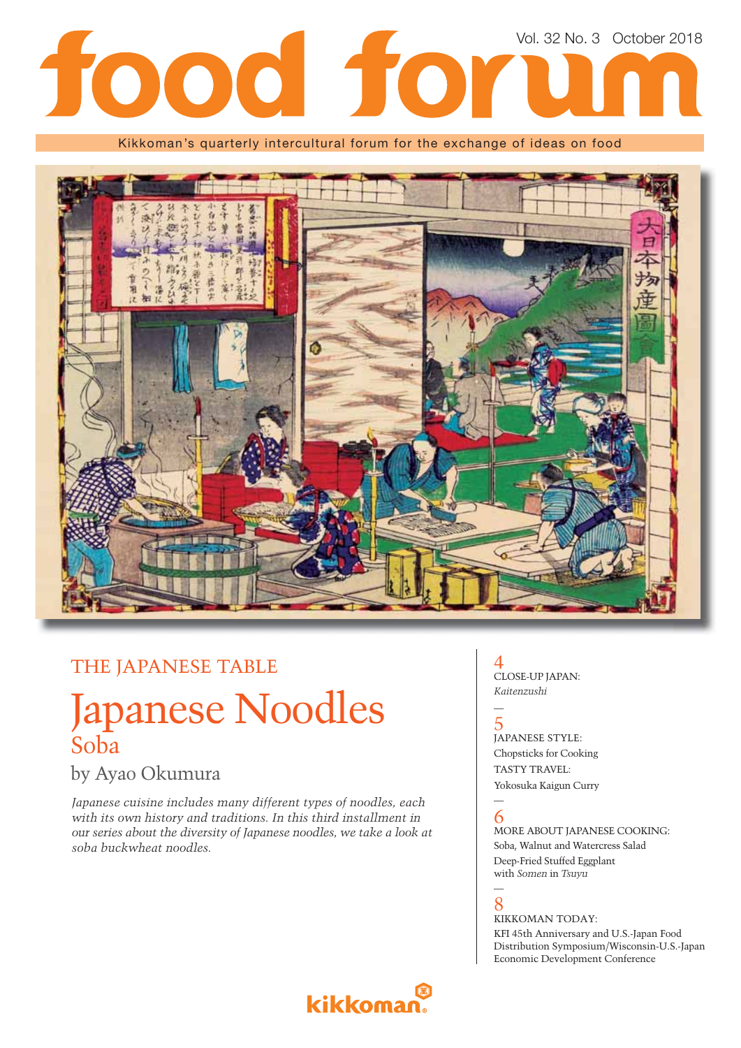# Vol. 32 No. 3 October 2018tood for

Kikkoman's quarterly intercultural forum for the exchange of ideas on food



### THE JAPANESE TABLE

## Japanese Noodles Soba

### by Ayao Okumura

*Japanese cuisine includes many different types of noodles, each with its own history and traditions. In this third installment in our series about the diversity of Japanese noodles, we take a look at soba buckwheat noodles.*

#### 4 CLOSE-UP JAPAN: *Kaitenzushi*

5 JAPANESE STYLE: Chopsticks for Cooking TASTY TRAVEL: Yokosuka Kaigun Curry

#### — 6

—

—

MORE ABOUT JAPANESE COOKING: Soba, Walnut and Watercress Salad Deep-Fried Stuffed Eggplant with *Somen* in *Tsuyu*

#### 8 KIKKOMAN TODAY:

KFI 45th Anniversary and U.S.-Japan Food Distribution Symposium/Wisconsin-U.S.-Japan Economic Development Conference

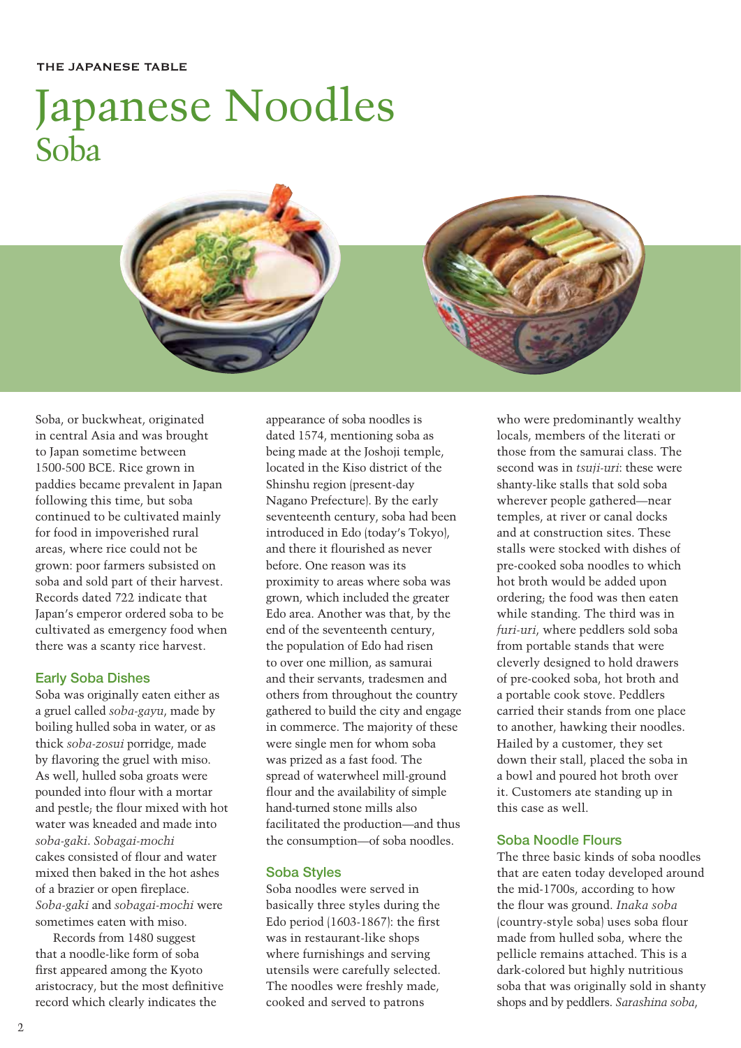#### THE JAPANESE TABLE

# Japanese Noodles Soba



Soba, or buckwheat, originated in central Asia and was brought to Japan sometime between 1500-500 BCE. Rice grown in paddies became prevalent in Japan following this time, but soba continued to be cultivated mainly for food in impoverished rural areas, where rice could not be grown: poor farmers subsisted on soba and sold part of their harvest. Records dated 722 indicate that Japan's emperor ordered soba to be cultivated as emergency food when there was a scanty rice harvest.

#### Early Soba Dishes

Soba was originally eaten either as a gruel called *soba-gayu*, made by boiling hulled soba in water, or as thick *soba-zosui* porridge, made by flavoring the gruel with miso. As well, hulled soba groats were pounded into flour with a mortar and pestle; the flour mixed with hot water was kneaded and made into *soba-gaki*. *Sobagai-mochi*  cakes consisted of flour and water mixed then baked in the hot ashes of a brazier or open fireplace. *Soba-gaki* and *sobagai-mochi* were sometimes eaten with miso.

Records from 1480 suggest that a noodle-like form of soba first appeared among the Kyoto aristocracy, but the most definitive record which clearly indicates the

appearance of soba noodles is dated 1574, mentioning soba as being made at the Joshoji temple, located in the Kiso district of the Shinshu region (present-day Nagano Prefecture). By the early seventeenth century, soba had been introduced in Edo (today's Tokyo), and there it flourished as never before. One reason was its proximity to areas where soba was grown, which included the greater Edo area. Another was that, by the end of the seventeenth century, the population of Edo had risen to over one million, as samurai and their servants, tradesmen and others from throughout the country gathered to build the city and engage in commerce. The majority of these were single men for whom soba was prized as a fast food. The spread of waterwheel mill-ground flour and the availability of simple hand-turned stone mills also facilitated the production—and thus the consumption—of soba noodles.

#### Soba Styles

Soba noodles were served in basically three styles during the Edo period  $(1603-1867)$ : the first was in restaurant-like shops where furnishings and serving utensils were carefully selected. The noodles were freshly made, cooked and served to patrons

who were predominantly wealthy locals, members of the literati or those from the samurai class. The second was in *tsuji-uri*: these were shanty-like stalls that sold soba wherever people gathered—near temples, at river or canal docks and at construction sites. These stalls were stocked with dishes of pre-cooked soba noodles to which hot broth would be added upon ordering; the food was then eaten while standing. The third was in *furi-uri*, where peddlers sold soba from portable stands that were cleverly designed to hold drawers of pre-cooked soba, hot broth and a portable cook stove. Peddlers carried their stands from one place to another, hawking their noodles. Hailed by a customer, they set down their stall, placed the soba in a bowl and poured hot broth over it. Customers ate standing up in this case as well.

#### Soba Noodle Flours

The three basic kinds of soba noodles that are eaten today developed around the mid-1700s, according to how the flour was ground. *Inaka soba* (country-style soba) uses soba flour made from hulled soba, where the pellicle remains attached. This is a dark-colored but highly nutritious soba that was originally sold in shanty shops and by peddlers. *Sarashina soba*,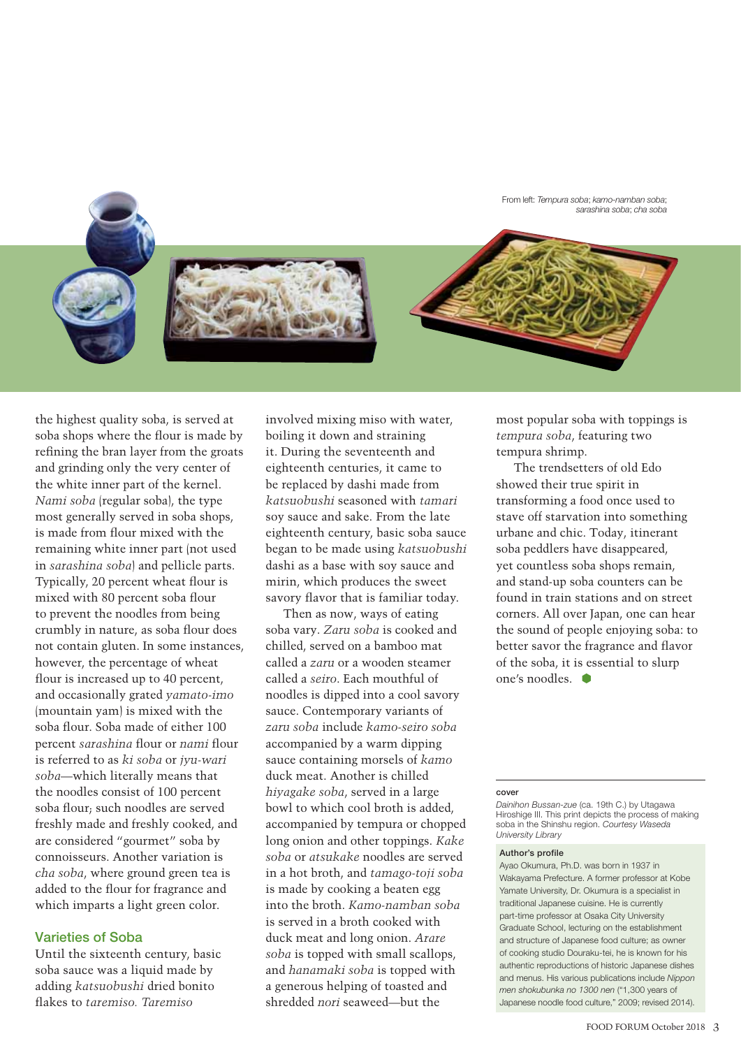From left: *Tempura soba*; *kamo-namban soba*; *sarashina soba*; *cha soba*





the highest quality soba, is served at soba shops where the flour is made by refining the bran layer from the groats and grinding only the very center of the white inner part of the kernel. *Nami soba* (regular soba), the type most generally served in soba shops, is made from flour mixed with the remaining white inner part (not used in *sarashina soba*) and pellicle parts. Typically, 20 percent wheat flour is mixed with 80 percent soba flour to prevent the noodles from being crumbly in nature, as soba flour does not contain gluten. In some instances, however, the percentage of wheat flour is increased up to 40 percent, and occasionally grated *yamato-imo*  (mountain yam) is mixed with the soba flour. Soba made of either 100 percent *sarashina* flour or *nami* flour is referred to as *ki soba* or *jyu-wari soba—*which literally means that the noodles consist of 100 percent soba flour; such noodles are served freshly made and freshly cooked, and are considered "gourmet" soba by connoisseurs. Another variation is *cha soba*, where ground green tea is added to the flour for fragrance and which imparts a light green color.

#### Varieties of Soba

Until the sixteenth century, basic soba sauce was a liquid made by adding *katsuobushi* dried bonito flakes to *taremiso*. Taremiso

involved mixing miso with water, boiling it down and straining it. During the seventeenth and eighteenth centuries, it came to be replaced by dashi made from *katsuobushi* seasoned with *tamari*  soy sauce and sake. From the late eighteenth century, basic soba sauce began to be made using *katsuobushi* dashi as a base with soy sauce and mirin, which produces the sweet savory flavor that is familiar today.

Then as now, ways of eating soba vary. *Zaru soba* is cooked and chilled, served on a bamboo mat called a *zaru* or a wooden steamer called a *seiro*. Each mouthful of noodles is dipped into a cool savory sauce. Contemporary variants of *zaru soba* include *kamo-seiro soba*  accompanied by a warm dipping sauce containing morsels of *kamo*  duck meat. Another is chilled *hiyagake soba*, served in a large bowl to which cool broth is added, accompanied by tempura or chopped long onion and other toppings. *Kake soba* or *atsukake* noodles are served in a hot broth, and *tamago-toji soba* is made by cooking a beaten egg into the broth. *Kamo-namban soba* is served in a broth cooked with duck meat and long onion. *Arare soba* is topped with small scallops, and *hanamaki soba* is topped with a generous helping of toasted and shredded *nori* seaweed—but the

most popular soba with toppings is *tempura soba*, featuring two tempura shrimp.

The trendsetters of old Edo showed their true spirit in transforming a food once used to stave off starvation into something urbane and chic. Today, itinerant soba peddlers have disappeared, yet countless soba shops remain, and stand-up soba counters can be found in train stations and on street corners. All over Japan, one can hear the sound of people enjoying soba: to better savor the fragrance and flavor of the soba, it is essential to slurp one's noodles.

#### cover

*Dainihon Bussan-zue* (ca. 19th C.) by Utagawa Hiroshige III. This print depicts the process of making soba in the Shinshu region. *Courtesy Waseda University Library*

#### Author's profile

Ayao Okumura, Ph.D. was born in 1937 in Wakayama Prefecture. A former professor at Kobe Yamate University, Dr. Okumura is a specialist in traditional Japanese cuisine. He is currently part-time professor at Osaka City University Graduate School, lecturing on the establishment and structure of Japanese food culture; as owner of cooking studio Douraku-tei, he is known for his authentic reproductions of historic Japanese dishes and menus. His various publications include *Nippon men shokubunka no 1300 nen* ("1,300 years of Japanese noodle food culture," 2009; revised 2014).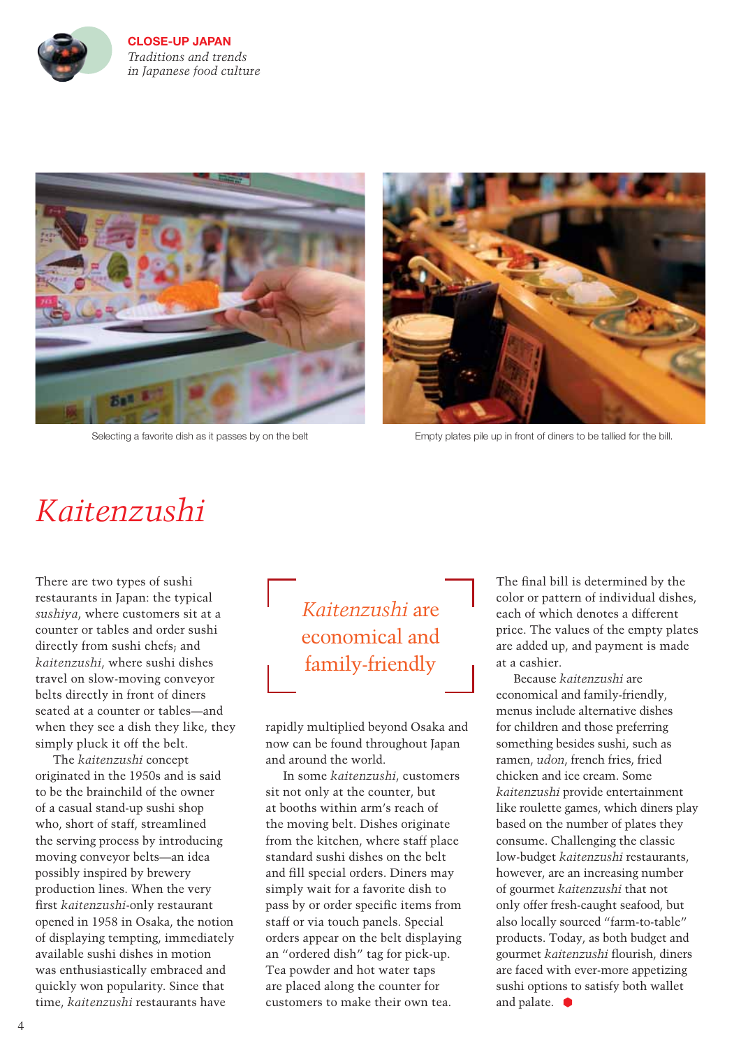

**CLOSE-UP JAPAN** *Traditions and trends in Japanese food culture* 





Selecting a favorite dish as it passes by on the belt Empty plates pile up in front of diners to be tallied for the bill.

### *Kaitenzushi*

There are two types of sushi restaurants in Japan: the typical *sushiya*, where customers sit at a counter or tables and order sushi directly from sushi chefs; and *kaitenzushi*, where sushi dishes travel on slow-moving conveyor belts directly in front of diners seated at a counter or tables—and when they see a dish they like, they simply pluck it off the belt.

The *kaitenzushi* concept originated in the 1950s and is said to be the brainchild of the owner of a casual stand-up sushi shop who, short of staff, streamlined the serving process by introducing moving conveyor belts—an idea possibly inspired by brewery production lines. When the very first *kaitenzushi-only* restaurant opened in 1958 in Osaka, the notion of displaying tempting, immediately available sushi dishes in motion was enthusiastically embraced and quickly won popularity. Since that time, *kaitenzushi* restaurants have

### *Kaitenzushi* are economical and family-friendly

rapidly multiplied beyond Osaka and now can be found throughout Japan and around the world.

In some *kaitenzushi*, customers sit not only at the counter, but at booths within arm's reach of the moving belt. Dishes originate from the kitchen, where staff place standard sushi dishes on the belt and fill special orders. Diners may simply wait for a favorite dish to pass by or order specific items from staff or via touch panels. Special orders appear on the belt displaying an "ordered dish" tag for pick-up. Tea powder and hot water taps are placed along the counter for customers to make their own tea.

The final bill is determined by the color or pattern of individual dishes, each of which denotes a different price. The values of the empty plates are added up, and payment is made at a cashier.

Because *kaitenzushi* are economical and family-friendly, menus include alternative dishes for children and those preferring something besides sushi, such as ramen, *udon*, french fries, fried chicken and ice cream. Some *kaitenzushi* provide entertainment like roulette games, which diners play based on the number of plates they consume. Challenging the classic low-budget *kaitenzushi* restaurants, however, are an increasing number of gourmet *kaitenzushi* that not only offer fresh-caught seafood, but also locally sourced "farm-to-table" products. Today, as both budget and gourmet *kaitenzushi* flourish, diners are faced with ever-more appetizing sushi options to satisfy both wallet and palate.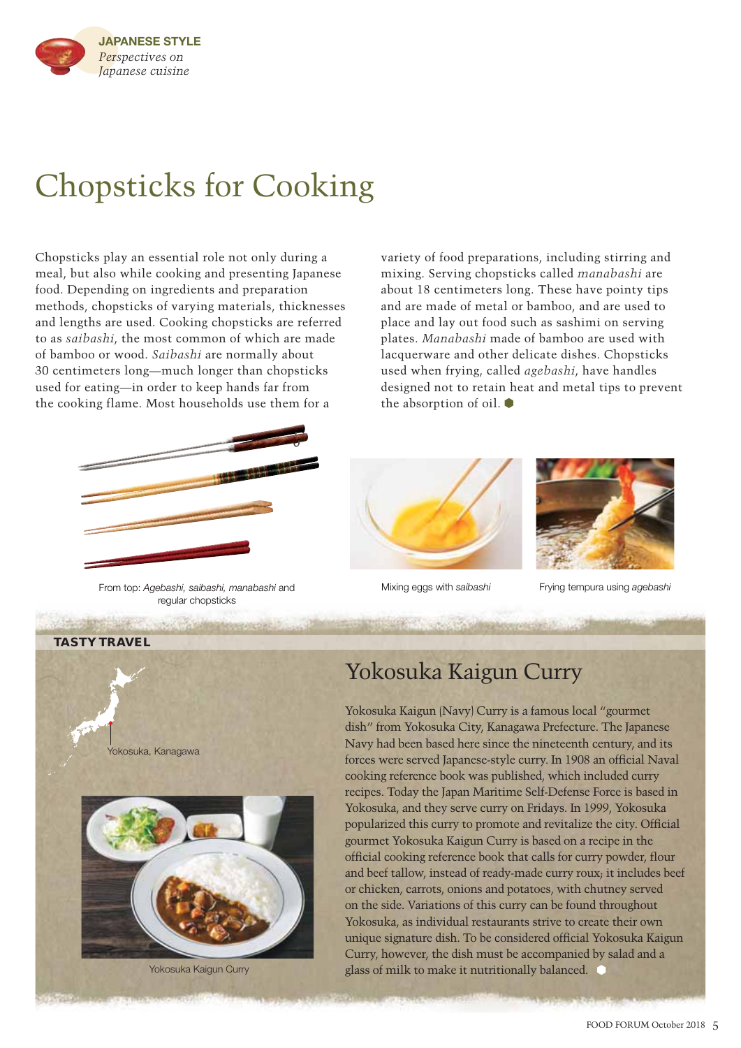

# Chopsticks for Cooking

Chopsticks play an essential role not only during a meal, but also while cooking and presenting Japanese food. Depending on ingredients and preparation methods, chopsticks of varying materials, thicknesses and lengths are used. Cooking chopsticks are referred to as *saibashi*, the most common of which are made of bamboo or wood. *Saibashi* are normally about 30 centimeters long—much longer than chopsticks used for eating—in order to keep hands far from the cooking flame. Most households use them for a



From top: *Agebashi, saibashi, manabashi* and regular chopsticks

variety of food preparations, including stirring and mixing. Serving chopsticks called *manabashi* are about 18 centimeters long. These have pointy tips and are made of metal or bamboo, and are used to place and lay out food such as sashimi on serving plates. *Manabashi* made of bamboo are used with lacquerware and other delicate dishes. Chopsticks used when frying, called *agebashi*, have handles designed not to retain heat and metal tips to prevent the absorption of oil.







Mixing eggs with *saibashi* Frying tempura using *agebashi*



### Yokosuka Kaigun Curry

Yokosuka Kaigun (Navy) Curry is a famous local "gourmet dish" from Yokosuka City, Kanagawa Prefecture. The Japanese Navy had been based here since the nineteenth century, and its forces were served Japanese-style curry. In 1908 an official Naval cooking reference book was published, which included curry recipes. Today the Japan Maritime Self-Defense Force is based in Yokosuka, and they serve curry on Fridays. In 1999, Yokosuka popularized this curry to promote and revitalize the city. Official gourmet Yokosuka Kaigun Curry is based on a recipe in the official cooking reference book that calls for curry powder, flour and beef tallow, instead of ready-made curry roux; it includes beef or chicken, carrots, onions and potatoes, with chutney served on the side. Variations of this curry can be found throughout Yokosuka, as individual restaurants strive to create their own unique signature dish. To be considered official Yokosuka Kaigun Curry, however, the dish must be accompanied by salad and a glass of milk to make it nutritionally balanced.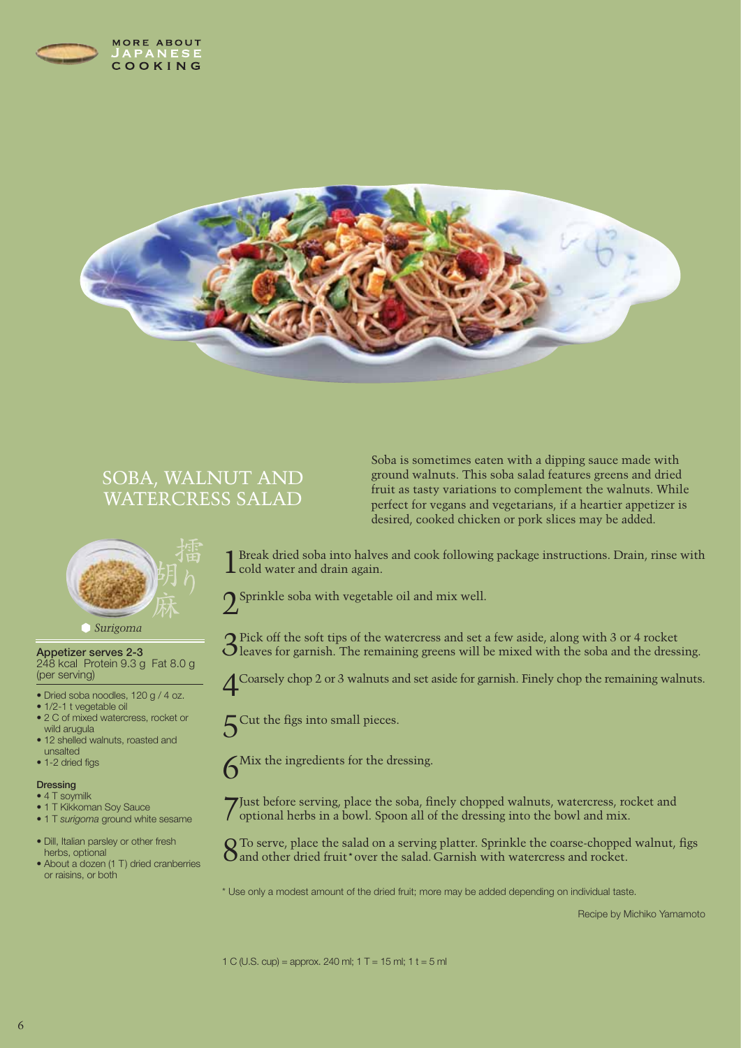



### SOBA, WALNUT AND WATERCRESS SALAD



#### *Surigoma*

Appetizer serves 2-3 248 kcal Protein 9.3 g Fat 8.0 g (per serving)

- Dried soba noodles, 120 g / 4 oz.
- 1/2-1 t vegetable oil
- 2 C of mixed watercress, rocket or wild arugula
- 12 shelled walnuts, roasted and unsalted
- 1-2 dried figs

#### **Dressing**

- 4 T soymilk
- 1 T Kikkoman Soy Sauce
- 1 T *surigoma* ground white sesame
- Dill, Italian parsley or other fresh herbs, optional
- About a dozen (1 T) dried cranberries or raisins, or both

Soba is sometimes eaten with a dipping sauce made with ground walnuts. This soba salad features greens and dried fruit as tasty variations to complement the walnuts. While perfect for vegans and vegetarians, if a heartier appetizer is desired, cooked chicken or pork slices may be added.

1 Break dried soba into halves and cook following package instructions. Drain, rinse with  $\perp$  cold water and drain again.



3Pick off the soft tips of the watercress and set a few aside, along with 3 or 4 rocket leaves for garnish. The remaining greens will be mixed with the soba and the dressing.

4Coarsely chop 2 or 3 walnuts and set aside for garnish. Finely chop the remaining walnuts.

 $5^{\text{Cut the figs into small pieces.}}$ 

6Mix the ingredients for the dressing.

Just before serving, place the soba, finely chopped walnuts, watercress, rocket and optional herbs in a bowl. Spoon all of the dressing into the bowl and mix.

Q To serve, place the salad on a serving platter. Sprinkle the coarse-chopped walnut, figs O and other dried fruit\* over the salad. Garnish with watercress and rocket.

\* Use only a modest amount of the dried fruit; more may be added depending on individual taste.

Recipe by Michiko Yamamoto

1 C (U.S. cup) = approx. 240 ml;  $1 T = 15$  ml;  $1 t = 5$  ml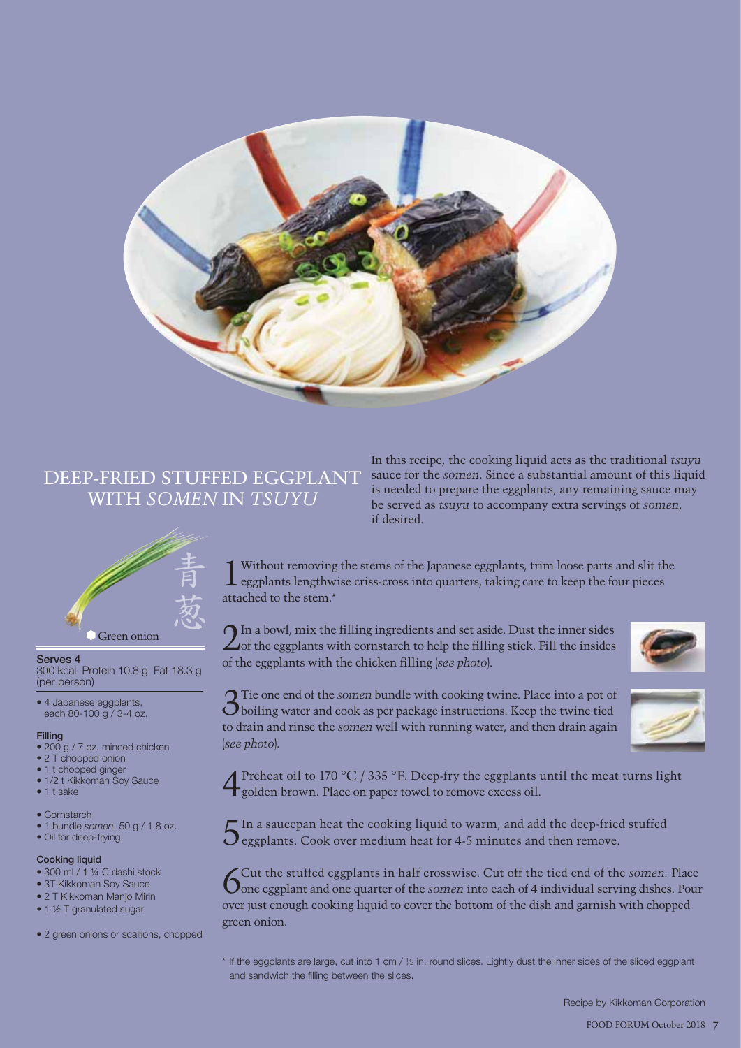

### DEEP-FRIED STUFFED EGGPLANT WITH *SOMEN* IN *TSUYU*



Serves 4

300 kcal Protein 10.8 g Fat 18.3 g (per person)

• 4 Japanese eggplants, each 80-100 g / 3-4 oz.

#### Filling

- 200 g / 7 oz. minced chicken
- 2 T chopped onion
- 1 t chopped ginger
- 1/2 t Kikkoman Soy Sauce
- 1 t sake
- Cornstarch
- 1 bundle *somen*, 50 g / 1.8 oz.
- Oil for deep-frying

#### Cooking liquid

- 300 ml / 1 ¼ C dashi stock
- 3T Kikkoman Sov Sauce
- 2 T Kikkoman Manjo Mirin • 1 ½ T granulated sugar
- 
- 2 green onions or scallions, chopped

In this recipe, the cooking liquid acts as the traditional *tsuyu* sauce for the *somen*. Since a substantial amount of this liquid is needed to prepare the eggplants, any remaining sauce may be served as *tsuyu* to accompany extra servings of *somen*, if desired.

1Without removing the stems of the Japanese eggplants, trim loose parts and slit the eggplants lengthwise criss-cross into quarters, taking care to keep the four pieces attached to the stem.\*

 $2^{\text{In a bowl, mix the filling ingredients and set aside. Dust the inner sides}$  of the eggplants with cornstarch to help the filling stick. Fill the insides of the eggplants with the chicken fi lling (*see photo*).



3Tie one end of the *somen* bundle with cooking twine. Place into a pot of boiling water and cook as per package instructions. Keep the twine tied to drain and rinse the *somen* well with running water, and then drain again (*see photo*).

4Preheat oil to 170 °C / 335 °F. Deep-fry the eggplants until the meat turns light golden brown. Place on paper towel to remove excess oil.

 $\Gamma$  In a saucepan heat the cooking liquid to warm, and add the deep-fried stuffed  $\mathbf{O}$  eggplants. Cook over medium heat for 4-5 minutes and then remove.

Gut the stuffed eggplants in half crosswise. Cut off the tied end of the *somen*. Place one eggplant and one quarter of the *somen* into each of 4 individual serving dishes. Pour over just enough cooking liquid to cover the bottom of the dish and garnish with chopped green onion.

 $*$  If the eggplants are large, cut into 1 cm /  $\frac{1}{2}$  in. round slices. Lightly dust the inner sides of the sliced eggplant and sandwich the filling between the slices.

Recipe by Kikkoman Corporation